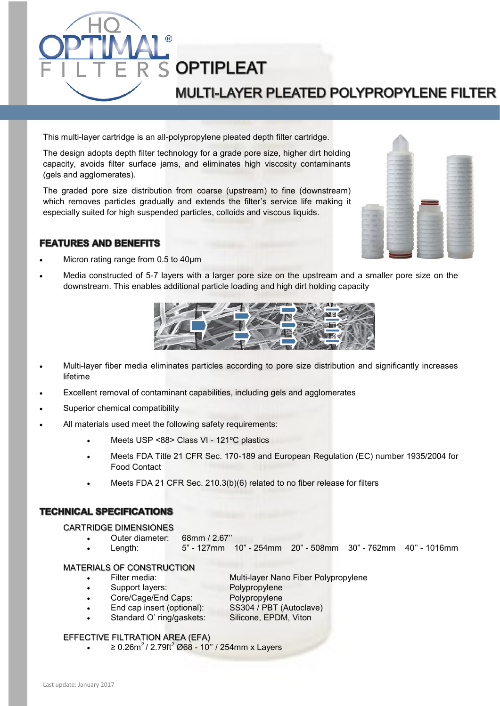

This multi-layer cartridge is an all-polypropylene pleated depth filter cartridge.

The design adopts depth filter technology for a grade pore size, higher dirt holding capacity, avoids filter surface jams, and eliminates high viscosity contaminants (gels and agglomerates).

The graded pore size distribution from coarse (upstream) to fine (downstream) which removes particles gradually and extends the filter's service life making it especially suited for high suspended particles, colloids and viscous liquids.



## **FEATURES AND BENEFITS**

- Micron rating range from 0.5 to 40µm
- Media constructed of 5-7 layers with a larger pore size on the upstream and a smaller pore size on the downstream. This enables additional particle loading and high dirt holding capacity



- Multi-layer fiber media eliminates particles according to pore size distribution and significantly increases lifetime
- Excellent removal of contaminant capabilities, including gels and agglomerates
- Superior chemical compatibility
- All materials used meet the following safety requirements:
	- Meets USP <88> Class VI 121ºC plastics
	- Meets FDA Title 21 CFR Sec. 170-189 and European Regulation (EC) number 1935/2004 for Food Contact
	- Meets FDA 21 CFR Sec. 210.3(b)(6) related to no fiber release for filters

## **TECHNICAL SPECIFICATIONS**

#### CARTRIDGE DIMENSIONES

- Outer diameter: 68mm / 2.67''
- Length: 5" 127mm 10" 254mm 20" 508mm 30" 762mm 40'' 1016mm

#### MATERIALS OF CONSTRUCTION

- Filter media: Multi-layer Nano Fiber Polypropylene
- Support layers: Polypropylene
	- Core/Cage/End Caps: Polypropylene
	- End cap insert (optional): SS304 / PBT (Autoclave)
- Standard O' ring/gaskets: Silicone, EPDM, Viton

### EFFECTIVE FILTRATION AREA (EFA)

 $\geq 0.26$ m<sup>2</sup> / 2.79ft<sup>2</sup> Ø68 - 10" / 254mm x Layers